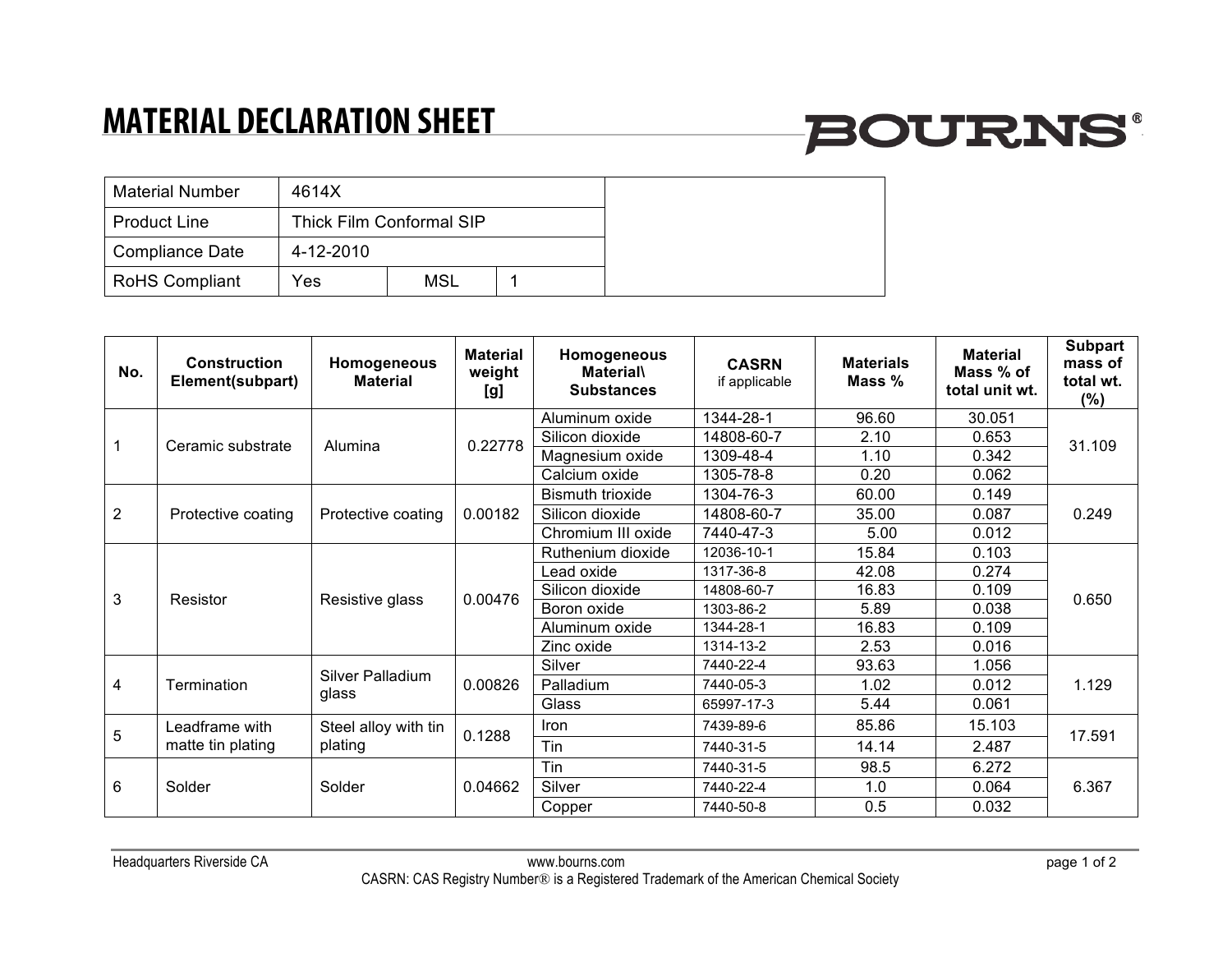## **MATERIAL DECLARATION SHEET**

# **BOURNS®**

| <b>Material Number</b> | 4614X     |                          |  |
|------------------------|-----------|--------------------------|--|
| <b>Product Line</b>    |           | Thick Film Conformal SIP |  |
| Compliance Date        | 4-12-2010 |                          |  |
| <b>RoHS Compliant</b>  | Yes       | <b>MSL</b>               |  |

| No.            | Construction<br>Element(subpart)    | Homogeneous<br><b>Material</b>  | <b>Material</b><br>weight<br>[g] | Homogeneous<br><b>Material</b><br><b>Substances</b> | <b>CASRN</b><br>if applicable | <b>Materials</b><br>Mass % | <b>Material</b><br>Mass % of<br>total unit wt. | <b>Subpart</b><br>mass of<br>total wt.<br>$(\%)$ |
|----------------|-------------------------------------|---------------------------------|----------------------------------|-----------------------------------------------------|-------------------------------|----------------------------|------------------------------------------------|--------------------------------------------------|
|                | Ceramic substrate                   | Alumina                         | 0.22778                          | Aluminum oxide                                      | 1344-28-1                     | 96.60                      | 30.051                                         | 31.109                                           |
|                |                                     |                                 |                                  | Silicon dioxide                                     | 14808-60-7                    | 2.10                       | 0.653                                          |                                                  |
|                |                                     |                                 |                                  | Magnesium oxide                                     | 1309-48-4                     | 1.10                       | 0.342                                          |                                                  |
|                |                                     |                                 |                                  | Calcium oxide                                       | 1305-78-8                     | 0.20                       | 0.062                                          |                                                  |
| $\overline{2}$ | Protective coating                  | Protective coating              | 0.00182                          | <b>Bismuth trioxide</b>                             | 1304-76-3                     | 60.00                      | 0.149                                          | 0.249                                            |
|                |                                     |                                 |                                  | Silicon dioxide                                     | 14808-60-7                    | 35.00                      | 0.087                                          |                                                  |
|                |                                     |                                 |                                  | Chromium III oxide                                  | 7440-47-3                     | 5.00                       | 0.012                                          |                                                  |
| 3              | Resistor                            | Resistive glass                 | 0.00476                          | Ruthenium dioxide                                   | 12036-10-1                    | 15.84                      | 0.103                                          | 0.650                                            |
|                |                                     |                                 |                                  | _ead oxide                                          | 1317-36-8                     | 42.08                      | 0.274                                          |                                                  |
|                |                                     |                                 |                                  | Silicon dioxide                                     | 14808-60-7                    | 16.83                      | 0.109                                          |                                                  |
|                |                                     |                                 |                                  | Boron oxide                                         | 1303-86-2                     | 5.89                       | 0.038                                          |                                                  |
|                |                                     |                                 |                                  | Aluminum oxide                                      | 1344-28-1                     | 16.83                      | 0.109                                          |                                                  |
|                |                                     |                                 |                                  | Zinc oxide                                          | 1314-13-2                     | 2.53                       | 0.016                                          |                                                  |
| 4              | Termination                         | Silver Palladium<br>glass       | 0.00826                          | Silver                                              | 7440-22-4                     | 93.63                      | 1.056                                          | 1.129                                            |
|                |                                     |                                 |                                  | Palladium                                           | 7440-05-3                     | 1.02                       | 0.012                                          |                                                  |
|                |                                     |                                 |                                  | Glass                                               | 65997-17-3                    | 5.44                       | 0.061                                          |                                                  |
| 5              | Leadframe with<br>matte tin plating | Steel alloy with tin<br>plating | 0.1288                           | <b>Iron</b>                                         | 7439-89-6                     | 85.86                      | 15.103                                         | 17.591                                           |
|                |                                     |                                 |                                  | Tin                                                 | 7440-31-5                     | 14.14                      | 2.487                                          |                                                  |
| 6              | Solder                              | Solder                          | 0.04662                          | Tin                                                 | 7440-31-5                     | 98.5                       | 6.272                                          | 6.367                                            |
|                |                                     |                                 |                                  | Silver                                              | 7440-22-4                     | 1.0                        | 0.064                                          |                                                  |
|                |                                     |                                 |                                  | Copper                                              | 7440-50-8                     | 0.5                        | 0.032                                          |                                                  |